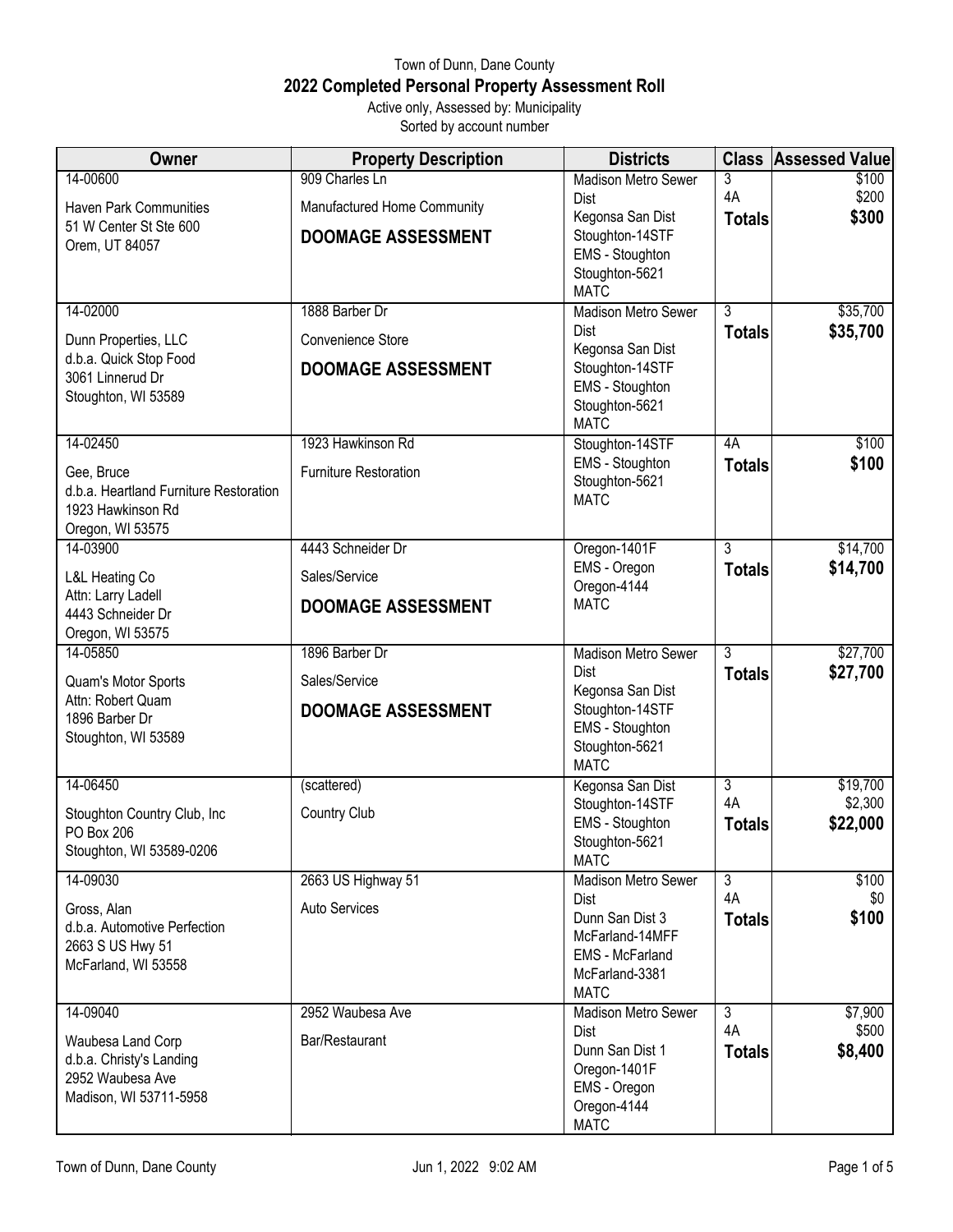## Town of Dunn, Dane County **2022 Completed Personal Property Assessment Roll** Active only, Assessed by: Municipality

Sorted by account number

| Owner                                                       | <b>Property Description</b>  | <b>Districts</b>                    |                | <b>Class Assessed Value</b> |
|-------------------------------------------------------------|------------------------------|-------------------------------------|----------------|-----------------------------|
| 14-00600                                                    | 909 Charles Ln               | <b>Madison Metro Sewer</b>          | 3<br>4A        | \$100<br>\$200              |
| <b>Haven Park Communities</b>                               | Manufactured Home Community  | Dist<br>Kegonsa San Dist            | <b>Totals</b>  | \$300                       |
| 51 W Center St Ste 600<br>Orem, UT 84057                    | <b>DOOMAGE ASSESSMENT</b>    | Stoughton-14STF                     |                |                             |
|                                                             |                              | EMS - Stoughton<br>Stoughton-5621   |                |                             |
|                                                             |                              | <b>MATC</b>                         |                |                             |
| 14-02000                                                    | 1888 Barber Dr               | <b>Madison Metro Sewer</b>          | 3              | \$35,700                    |
| Dunn Properties, LLC                                        | Convenience Store            | Dist<br>Kegonsa San Dist            | <b>Totals</b>  | \$35,700                    |
| d.b.a. Quick Stop Food<br>3061 Linnerud Dr                  | <b>DOOMAGE ASSESSMENT</b>    | Stoughton-14STF                     |                |                             |
| Stoughton, WI 53589                                         |                              | EMS - Stoughton<br>Stoughton-5621   |                |                             |
|                                                             |                              | <b>MATC</b>                         |                |                             |
| 14-02450                                                    | 1923 Hawkinson Rd            | Stoughton-14STF                     | 4A             | \$100                       |
| Gee, Bruce                                                  | <b>Furniture Restoration</b> | EMS - Stoughton<br>Stoughton-5621   | <b>Totals</b>  | \$100                       |
| d.b.a. Heartland Furniture Restoration<br>1923 Hawkinson Rd |                              | <b>MATC</b>                         |                |                             |
| Oregon, WI 53575                                            |                              |                                     |                |                             |
| 14-03900                                                    | 4443 Schneider Dr            | Oregon-1401F<br>EMS - Oregon        | 3              | \$14,700                    |
| L&L Heating Co                                              | Sales/Service                | Oregon-4144                         | <b>Totals</b>  | \$14,700                    |
| Attn: Larry Ladell<br>4443 Schneider Dr                     | <b>DOOMAGE ASSESSMENT</b>    | <b>MATC</b>                         |                |                             |
| Oregon, WI 53575                                            |                              |                                     |                |                             |
| 14-05850                                                    | 1896 Barber Dr               | <b>Madison Metro Sewer</b><br>Dist  | $\overline{3}$ | \$27,700<br>\$27,700        |
| Quam's Motor Sports<br>Attn: Robert Quam                    | Sales/Service                | Kegonsa San Dist                    | <b>Totals</b>  |                             |
| 1896 Barber Dr                                              | <b>DOOMAGE ASSESSMENT</b>    | Stoughton-14STF                     |                |                             |
| Stoughton, WI 53589                                         |                              | EMS - Stoughton<br>Stoughton-5621   |                |                             |
|                                                             |                              | <b>MATC</b>                         |                |                             |
| 14-06450                                                    | (scattered)                  | Kegonsa San Dist<br>Stoughton-14STF | 3<br>4A        | \$19,700<br>\$2,300         |
| Stoughton Country Club, Inc.<br>PO Box 206                  | Country Club                 | EMS - Stoughton                     | <b>Totals</b>  | \$22,000                    |
| Stoughton, WI 53589-0206                                    |                              | Stoughton-5621<br><b>MATC</b>       |                |                             |
| 14-09030                                                    | 2663 US Highway 51           | <b>Madison Metro Sewer</b>          | $\overline{3}$ | \$100                       |
| Gross, Alan                                                 | Auto Services                | Dist                                | 4A             | \$0                         |
| d.b.a. Automotive Perfection                                |                              | Dunn San Dist 3<br>McFarland-14MFF  | <b>Totals</b>  | \$100                       |
| 2663 S US Hwy 51<br>McFarland, WI 53558                     |                              | <b>EMS</b> - McFarland              |                |                             |
|                                                             |                              | McFarland-3381<br><b>MATC</b>       |                |                             |
| 14-09040                                                    | 2952 Waubesa Ave             | <b>Madison Metro Sewer</b>          | $\overline{3}$ | \$7,900                     |
| Waubesa Land Corp                                           | Bar/Restaurant               | Dist                                | 4A             | \$500                       |
| d.b.a. Christy's Landing                                    |                              | Dunn San Dist 1<br>Oregon-1401F     | <b>Totals</b>  | \$8,400                     |
| 2952 Waubesa Ave<br>Madison, WI 53711-5958                  |                              | EMS - Oregon                        |                |                             |
|                                                             |                              | Oregon-4144<br><b>MATC</b>          |                |                             |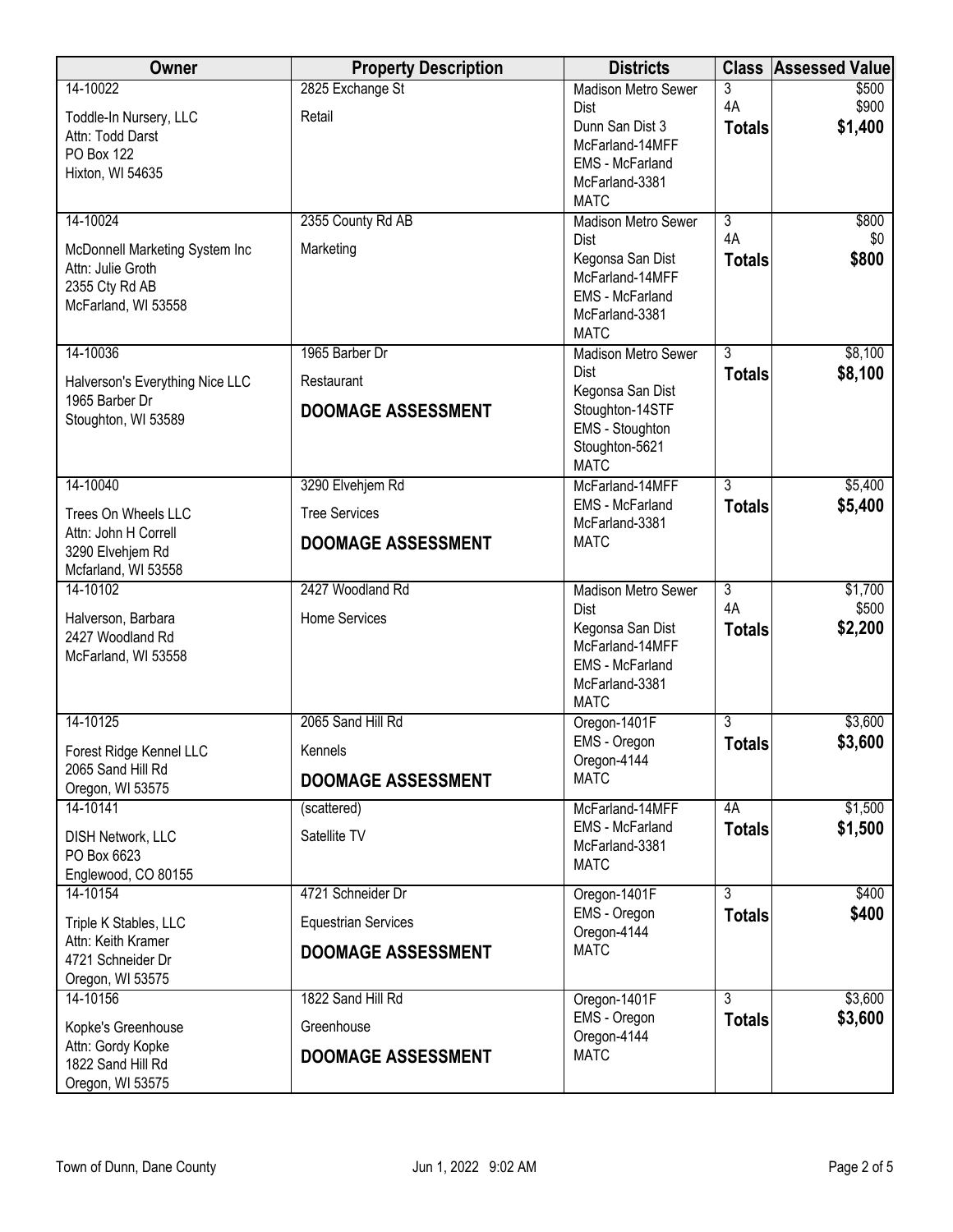| Owner                                        | <b>Property Description</b> | <b>Districts</b>                         | <b>Class</b>   | <b>Assessed Value</b> |
|----------------------------------------------|-----------------------------|------------------------------------------|----------------|-----------------------|
| 14-10022                                     | 2825 Exchange St            | <b>Madison Metro Sewer</b>               | 3              | \$500                 |
| Toddle-In Nursery, LLC                       | Retail                      | <b>Dist</b>                              | 4A             | \$900                 |
| Attn: Todd Darst                             |                             | Dunn San Dist 3                          | <b>Totals</b>  | \$1,400               |
| <b>PO Box 122</b>                            |                             | McFarland-14MFF                          |                |                       |
| Hixton, WI 54635                             |                             | <b>EMS</b> - McFarland                   |                |                       |
|                                              |                             | McFarland-3381<br><b>MATC</b>            |                |                       |
| 14-10024                                     | 2355 County Rd AB           | <b>Madison Metro Sewer</b>               | $\overline{3}$ | \$800                 |
|                                              |                             | <b>Dist</b>                              | 4A             | \$0                   |
| McDonnell Marketing System Inc               | Marketing                   | Kegonsa San Dist                         | <b>Totals</b>  | \$800                 |
| Attn: Julie Groth                            |                             | McFarland-14MFF                          |                |                       |
| 2355 Cty Rd AB                               |                             | EMS - McFarland                          |                |                       |
| McFarland, WI 53558                          |                             | McFarland-3381                           |                |                       |
|                                              |                             | <b>MATC</b>                              |                |                       |
| 14-10036                                     | 1965 Barber Dr              | <b>Madison Metro Sewer</b>               | $\overline{3}$ | \$8,100               |
| Halverson's Everything Nice LLC              | Restaurant                  | <b>Dist</b>                              | <b>Totals</b>  | \$8,100               |
| 1965 Barber Dr                               |                             | Kegonsa San Dist<br>Stoughton-14STF      |                |                       |
| Stoughton, WI 53589                          | <b>DOOMAGE ASSESSMENT</b>   | EMS - Stoughton                          |                |                       |
|                                              |                             | Stoughton-5621                           |                |                       |
|                                              |                             | <b>MATC</b>                              |                |                       |
| 14-10040                                     | 3290 Elvehjem Rd            | McFarland-14MFF                          | 3              | \$5,400               |
| Trees On Wheels LLC                          | <b>Tree Services</b>        | EMS - McFarland                          | <b>Totals</b>  | \$5,400               |
| Attn: John H Correll                         |                             | McFarland-3381                           |                |                       |
| 3290 Elvehjem Rd                             | <b>DOOMAGE ASSESSMENT</b>   | <b>MATC</b>                              |                |                       |
| Mcfarland, WI 53558                          |                             |                                          |                |                       |
| 14-10102                                     | 2427 Woodland Rd            | <b>Madison Metro Sewer</b>               | $\overline{3}$ | \$1,700               |
| Halverson, Barbara                           | Home Services               | Dist                                     | 4A             | \$500                 |
| 2427 Woodland Rd                             |                             | Kegonsa San Dist                         | <b>Totals</b>  | \$2,200               |
| McFarland, WI 53558                          |                             | McFarland-14MFF                          |                |                       |
|                                              |                             | <b>EMS</b> - McFarland<br>McFarland-3381 |                |                       |
|                                              |                             | <b>MATC</b>                              |                |                       |
| 14-10125                                     | 2065 Sand Hill Rd           | Oregon-1401F                             | 3              | \$3,600               |
|                                              | Kennels                     | EMS - Oregon                             | <b>Totals</b>  | \$3,600               |
| Forest Ridge Kennel LLC<br>2065 Sand Hill Rd |                             | Oregon-4144                              |                |                       |
| Oregon, WI 53575                             | <b>DOOMAGE ASSESSMENT</b>   | <b>MATC</b>                              |                |                       |
| 14-10141                                     | (scattered)                 | McFarland-14MFF                          | 4A             | \$1,500               |
|                                              | Satellite TV                | EMS - McFarland                          | <b>Totals</b>  | \$1,500               |
| <b>DISH Network, LLC</b><br>PO Box 6623      |                             | McFarland-3381                           |                |                       |
| Englewood, CO 80155                          |                             | <b>MATC</b>                              |                |                       |
| 14-10154                                     | 4721 Schneider Dr           | Oregon-1401F                             | $\overline{3}$ | \$400                 |
|                                              |                             | EMS - Oregon                             | <b>Totals</b>  | \$400                 |
| Triple K Stables, LLC<br>Attn: Keith Kramer  | <b>Equestrian Services</b>  | Oregon-4144                              |                |                       |
| 4721 Schneider Dr                            | <b>DOOMAGE ASSESSMENT</b>   | <b>MATC</b>                              |                |                       |
| Oregon, WI 53575                             |                             |                                          |                |                       |
| 14-10156                                     | 1822 Sand Hill Rd           | Oregon-1401F                             | $\overline{3}$ | \$3,600               |
| Kopke's Greenhouse                           | Greenhouse                  | EMS - Oregon                             | <b>Totals</b>  | \$3,600               |
| Attn: Gordy Kopke                            |                             | Oregon-4144                              |                |                       |
| 1822 Sand Hill Rd                            | <b>DOOMAGE ASSESSMENT</b>   | <b>MATC</b>                              |                |                       |
| Oregon, WI 53575                             |                             |                                          |                |                       |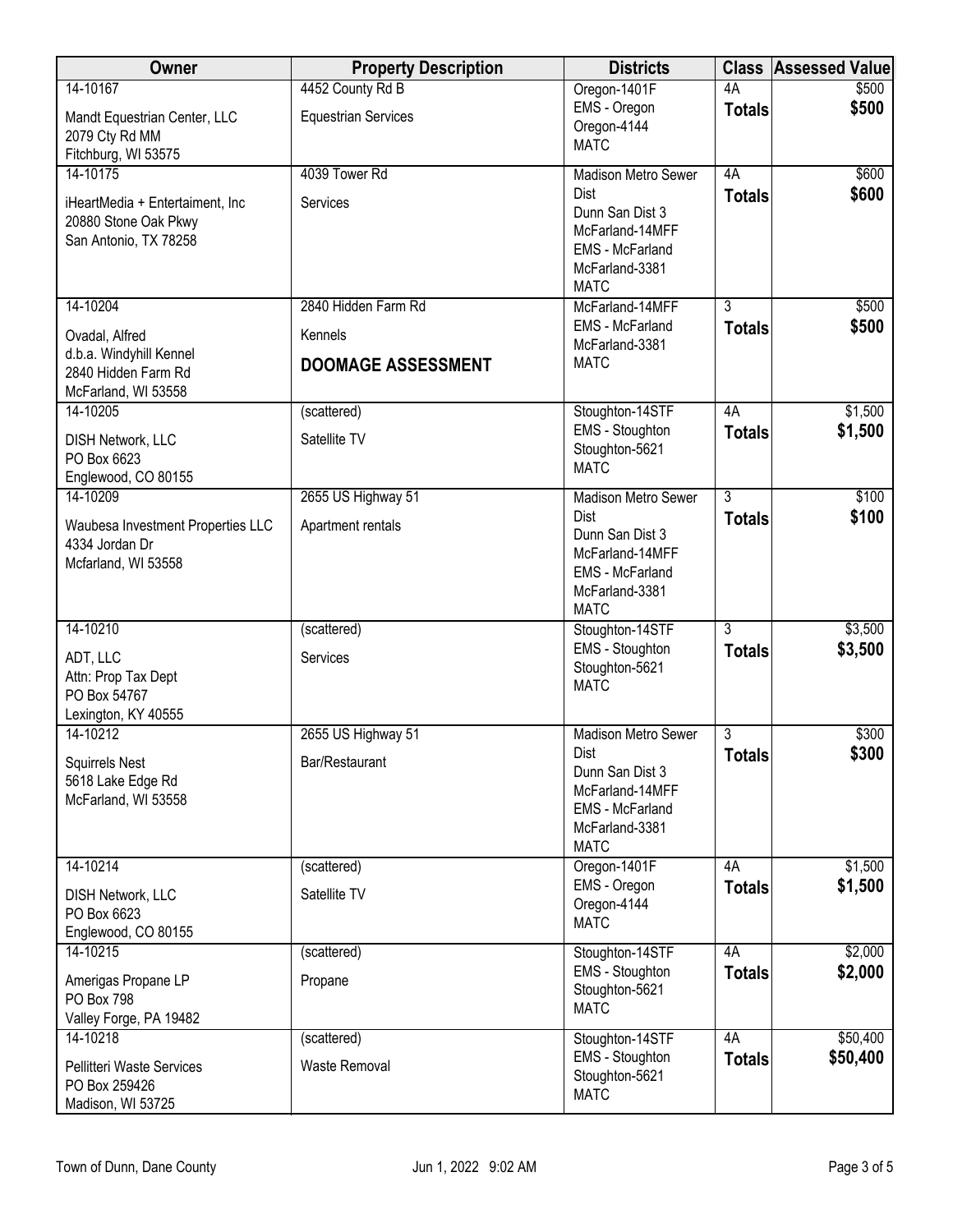| Owner                                                                            | <b>Property Description</b> | <b>Districts</b>                                                                                             | <b>Class</b>   | <b>Assessed Value</b> |
|----------------------------------------------------------------------------------|-----------------------------|--------------------------------------------------------------------------------------------------------------|----------------|-----------------------|
| 14-10167                                                                         | 4452 County Rd B            | Oregon-1401F                                                                                                 | 4A             | \$500                 |
| Mandt Equestrian Center, LLC<br>2079 Cty Rd MM<br>Fitchburg, WI 53575            | <b>Equestrian Services</b>  | EMS - Oregon<br>Oregon-4144<br><b>MATC</b>                                                                   | <b>Totals</b>  | \$500                 |
| 14-10175                                                                         | 4039 Tower Rd               | <b>Madison Metro Sewer</b>                                                                                   | 4A             | \$600                 |
| iHeartMedia + Entertaiment, Inc<br>20880 Stone Oak Pkwy<br>San Antonio, TX 78258 | Services                    | <b>Dist</b><br>Dunn San Dist 3<br>McFarland-14MFF<br><b>EMS</b> - McFarland<br>McFarland-3381<br><b>MATC</b> | <b>Totals</b>  | \$600                 |
| 14-10204                                                                         | 2840 Hidden Farm Rd         | McFarland-14MFF                                                                                              | $\overline{3}$ | \$500                 |
| Ovadal, Alfred                                                                   | Kennels                     | <b>EMS</b> - McFarland<br>McFarland-3381                                                                     | <b>Totals</b>  | \$500                 |
| d.b.a. Windyhill Kennel<br>2840 Hidden Farm Rd<br>McFarland, WI 53558            | <b>DOOMAGE ASSESSMENT</b>   | <b>MATC</b>                                                                                                  |                |                       |
| 14-10205                                                                         | (scattered)                 | Stoughton-14STF                                                                                              | 4A             | \$1,500               |
| DISH Network, LLC<br>PO Box 6623<br>Englewood, CO 80155                          | Satellite TV                | EMS - Stoughton<br>Stoughton-5621<br><b>MATC</b>                                                             | <b>Totals</b>  | \$1,500               |
| 14-10209                                                                         | 2655 US Highway 51          | <b>Madison Metro Sewer</b>                                                                                   | $\overline{3}$ | \$100                 |
| Waubesa Investment Properties LLC<br>4334 Jordan Dr<br>Mcfarland, WI 53558       | Apartment rentals           | Dist<br>Dunn San Dist 3<br>McFarland-14MFF<br><b>EMS</b> - McFarland<br>McFarland-3381<br><b>MATC</b>        | <b>Totals</b>  | \$100                 |
| 14-10210                                                                         | (scattered)                 | Stoughton-14STF                                                                                              | $\overline{3}$ | \$3,500               |
| ADT, LLC<br>Attn: Prop Tax Dept<br>PO Box 54767<br>Lexington, KY 40555           | Services                    | EMS - Stoughton<br>Stoughton-5621<br><b>MATC</b>                                                             | <b>Totals</b>  | \$3,500               |
| 14-10212                                                                         | 2655 US Highway 51          | <b>Madison Metro Sewer</b>                                                                                   | 3              | \$300                 |
| <b>Squirrels Nest</b><br>5618 Lake Edge Rd<br>McFarland, WI 53558                | Bar/Restaurant              | Dist<br>Dunn San Dist 3<br>McFarland-14MFF<br>EMS - McFarland<br>McFarland-3381<br><b>MATC</b>               | <b>Totals</b>  | \$300                 |
| 14-10214                                                                         | (scattered)                 | Oregon-1401F                                                                                                 | 4A             | \$1,500               |
| <b>DISH Network, LLC</b><br>PO Box 6623<br>Englewood, CO 80155                   | Satellite TV                | EMS - Oregon<br>Oregon-4144<br><b>MATC</b>                                                                   | <b>Totals</b>  | \$1,500               |
| 14-10215                                                                         | (scattered)                 | Stoughton-14STF                                                                                              | 4A             | \$2,000               |
| Amerigas Propane LP<br>PO Box 798<br>Valley Forge, PA 19482                      | Propane                     | EMS - Stoughton<br>Stoughton-5621<br><b>MATC</b>                                                             | <b>Totals</b>  | \$2,000               |
| 14-10218                                                                         | (scattered)                 | Stoughton-14STF                                                                                              | 4A             | \$50,400              |
| <b>Pellitteri Waste Services</b><br>PO Box 259426<br>Madison, WI 53725           | Waste Removal               | EMS - Stoughton<br>Stoughton-5621<br><b>MATC</b>                                                             | <b>Totals</b>  | \$50,400              |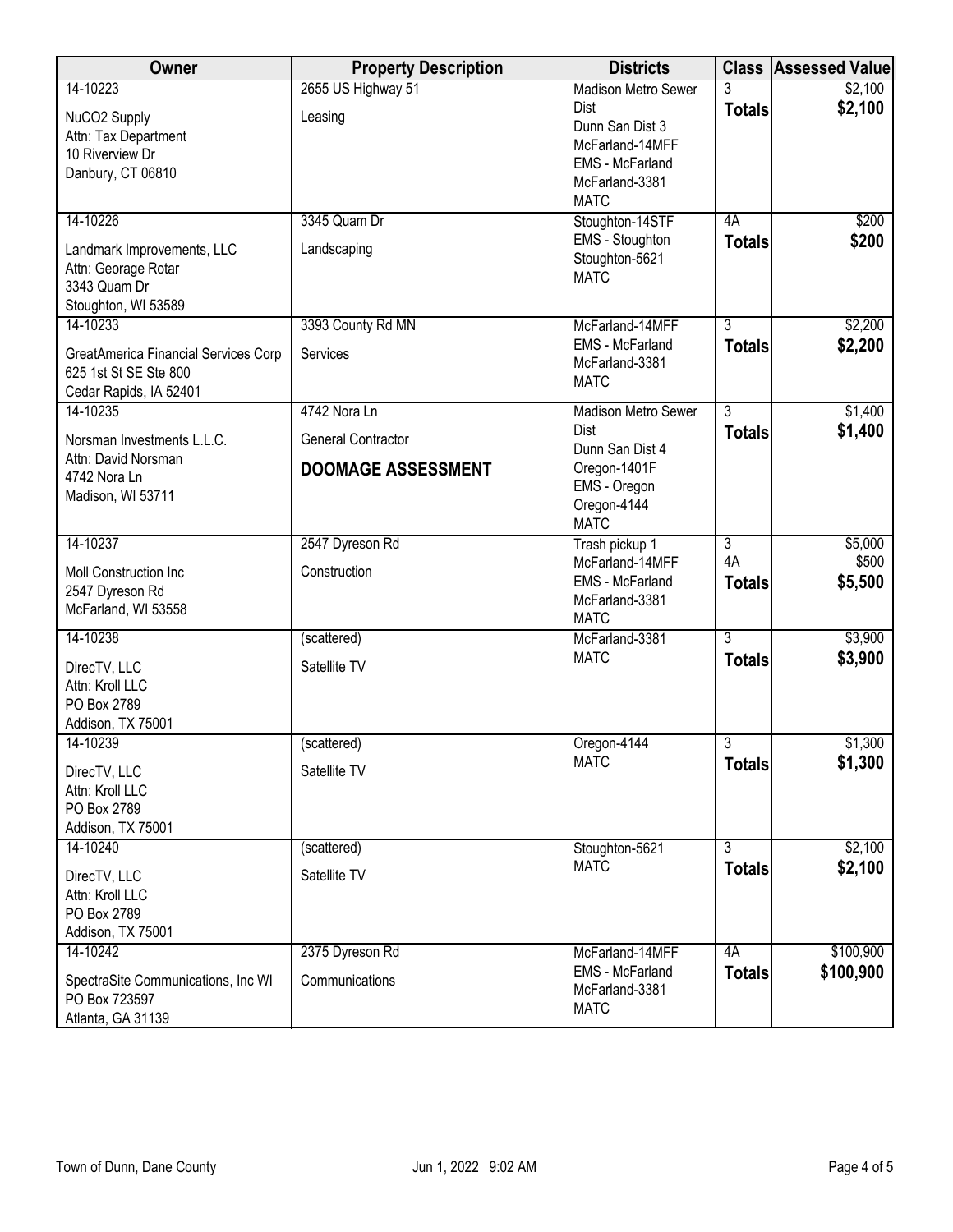| Owner                                                                                    | <b>Property Description</b> | <b>Districts</b>                                                                                      |                     | <b>Class Assessed Value</b> |
|------------------------------------------------------------------------------------------|-----------------------------|-------------------------------------------------------------------------------------------------------|---------------------|-----------------------------|
| 14-10223                                                                                 | 2655 US Highway 51          | <b>Madison Metro Sewer</b>                                                                            | 3                   | \$2,100                     |
| NuCO2 Supply<br>Attn: Tax Department<br>10 Riverview Dr<br>Danbury, CT 06810             | Leasing                     | Dist<br>Dunn San Dist 3<br>McFarland-14MFF<br><b>EMS</b> - McFarland<br>McFarland-3381<br><b>MATC</b> | <b>Totals</b>       | \$2,100                     |
| 14-10226                                                                                 | 3345 Quam Dr                | Stoughton-14STF                                                                                       | 4A                  | \$200                       |
| Landmark Improvements, LLC<br>Attn: Georage Rotar<br>3343 Quam Dr<br>Stoughton, WI 53589 | Landscaping                 | EMS - Stoughton<br>Stoughton-5621<br><b>MATC</b>                                                      | <b>Totals</b>       | \$200                       |
| 14-10233                                                                                 | 3393 County Rd MN           | McFarland-14MFF                                                                                       | $\overline{3}$      | \$2,200                     |
| GreatAmerica Financial Services Corp<br>625 1st St SE Ste 800<br>Cedar Rapids, IA 52401  | Services                    | EMS - McFarland<br>McFarland-3381<br><b>MATC</b>                                                      | <b>Totals</b>       | \$2,200                     |
| 14-10235                                                                                 | 4742 Nora Ln                | <b>Madison Metro Sewer</b>                                                                            | $\overline{3}$      | \$1,400                     |
| Norsman Investments L.L.C.<br>Attn: David Norsman                                        | General Contractor          | <b>Dist</b><br>Dunn San Dist 4                                                                        | <b>Totals</b>       | \$1,400                     |
| 4742 Nora Ln                                                                             | <b>DOOMAGE ASSESSMENT</b>   | Oregon-1401F                                                                                          |                     |                             |
| Madison, WI 53711                                                                        |                             | EMS - Oregon<br>Oregon-4144<br><b>MATC</b>                                                            |                     |                             |
| 14-10237                                                                                 | 2547 Dyreson Rd             | Trash pickup 1                                                                                        | $\overline{3}$      | \$5,000                     |
| Moll Construction Inc<br>2547 Dyreson Rd<br>McFarland, WI 53558                          | Construction                | McFarland-14MFF<br><b>EMS</b> - McFarland<br>McFarland-3381<br><b>MATC</b>                            | 4A<br><b>Totals</b> | \$500<br>\$5,500            |
| 14-10238                                                                                 | (scattered)                 | McFarland-3381                                                                                        | $\overline{3}$      | \$3,900                     |
| DirecTV, LLC<br>Attn: Kroll LLC<br>PO Box 2789<br>Addison, TX 75001                      | Satellite TV                | <b>MATC</b>                                                                                           | <b>Totals</b>       | \$3,900                     |
| 14-10239                                                                                 | (scattered)                 | Oregon-4144                                                                                           | 3                   | \$1,300                     |
| DirecTV, LLC<br>Attn: Kroll LLC<br>PO Box 2789<br>Addison, TX 75001                      | Satellite TV                | <b>MATC</b>                                                                                           | <b>Totals</b>       | \$1,300                     |
| 14-10240                                                                                 | (scattered)                 | Stoughton-5621                                                                                        | $\overline{3}$      | \$2,100                     |
| DirecTV, LLC<br>Attn: Kroll LLC<br>PO Box 2789<br>Addison, TX 75001                      | Satellite TV                | <b>MATC</b>                                                                                           | <b>Totals</b>       | \$2,100                     |
| 14-10242                                                                                 | 2375 Dyreson Rd             | McFarland-14MFF                                                                                       | 4A                  | \$100,900                   |
| SpectraSite Communications, Inc WI<br>PO Box 723597<br>Atlanta, GA 31139                 | Communications              | <b>EMS</b> - McFarland<br>McFarland-3381<br><b>MATC</b>                                               | <b>Totals</b>       | \$100,900                   |